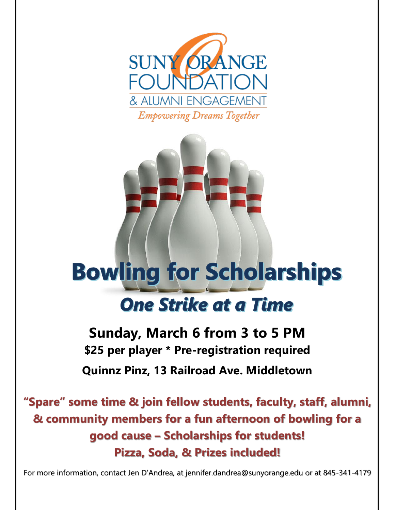



## **Bowling for Scholarships One Strike at a Time**

**Sunday, March 6 from 3 to 5 PM \$25 per player \* Pre-registration required Quinnz Pinz, 13 Railroad Ave. Middletown**

**"Spare" some time & join fellow students, faculty, staff, alumni, & community members for a fun afternoon of bowling for a good cause – Scholarships for students! Pizza, Soda, & Prizes included!**

For more information, contact Jen D'Andrea, at jennifer.dandrea@sunyorange.edu or at 845-341-4179